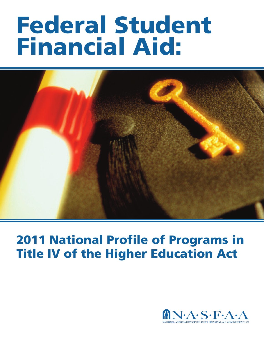# **Federal Student Financial Aid:**



# **2011 National Profile of Programs in Title IV of the Higher Education Act**

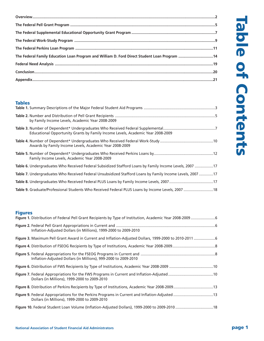| The Federal Family Education Loan Program and William D. Ford Direct Student Loan Program 14 |  |
|----------------------------------------------------------------------------------------------|--|
|                                                                                              |  |
|                                                                                              |  |
|                                                                                              |  |

# **Tables**

| by Family Income Levels, Academic Year 2008-2009                                                         |  |
|----------------------------------------------------------------------------------------------------------|--|
| Educational Opportunity Grants by Family Income Levels, Academic Year 2008-2009                          |  |
| Awards by Family Income Levels, Academic Year 2008-2009                                                  |  |
| Family Income Levels, Academic Year 2008-2009                                                            |  |
| Table 6. Undergraduates Who Received Federal Subsidized Stafford Loans by Family Income Levels, 2007 17  |  |
| Table 7. Undergraduates Who Received Federal Unsubsidized Stafford Loans by Family Income Levels, 200717 |  |
|                                                                                                          |  |
| Table 9. Graduate/Professional Students Who Received Federal PLUS Loans by Income Levels, 2007  18       |  |

# **Figures**

| Inflation-Adjusted Dollars (in Millions), 1999-2000 to 2009-2010                                     |  |
|------------------------------------------------------------------------------------------------------|--|
| Figure 3. Maximum Pell Grant Award in Current and Inflation-Adjusted Dollars, 1999-2000 to 2010-2011 |  |
|                                                                                                      |  |
| Inflation-Adjusted Dollars (in Millions), 999-2000 to 2009-2010                                      |  |
|                                                                                                      |  |
| Dollars (in Millions), 1999-2000 to 2009-2010                                                        |  |
|                                                                                                      |  |
| Dollars (in Millions), 1999-2000 to 2009-2010                                                        |  |
|                                                                                                      |  |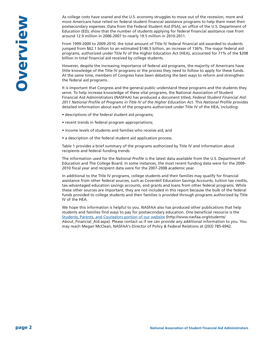As college costs have soared and the U.S. economy struggles to move out of the recession, more and more Americans have relied on federal student financial assistance programs to help them meet their postsecondary expenses. Data from the Federal Student Aid (FSA), an office of the U.S. Department of Education (ED), show that the number of students applying for federal financial assistance rose from around 12.9 million in 2006-2007 to nearly 19.5 million in 2010-2011.

From 1999-2000 to 2009-2010, the total amount of Title IV federal financial aid awarded to students jumped from \$62.1 billion to an estimated \$146.5 billion, an increase of 136%. The major federal aid programs, authorized under Title IV of the Higher Education Act (HEA), accounted for 71% of the \$208 billion in total financial aid received by college students.

However, despite the increasing importance of federal aid programs, the majority of Americans have little knowledge of the Title IV programs or the process they need to follow to apply for these funds. At the same time, members of Congress have been debating the best ways to reform and strengthen the federal aid programs.

It is important that Congress and the general public understand these programs and the students they serve. To help increase knowledge of these vital programs, the National Association of Student Financial Aid Administrators (NASFAA) has produced a document titled, *Federal Student Financial Aid: 2011 National Profile of Programs in Title IV of the Higher Education Act.* This *National Profile* provides detailed information about each of the programs authorized under Title IV of the HEA, including:

- descriptions of the federal student aid programs;
- recent trends in federal program appropriations;
- income levels of students and families who receive aid; and
- a description of the federal student aid application process.

Table 1 provides a brief summary of the programs authorized by Title IV and information about recipients and federal funding trends.

The information used for the *National Profile* is the latest data available from the U.S. Department of Education and The College Board. In some instances, the most recent funding data were for the 2009- 2010 fiscal year and recipient data were for the 2007-2008 academic year.

In additional to the Title IV programs, college students and their families may qualify for financial assistance from other federal sources, such as Coverdell Education Savings Accounts, tuition tax credits, tax-advantaged education savings accounts, and grants and loans from other federal programs. While these other sources are important, they are not included in this report because the bulk of the federal funds provided to college students and their families is provided through programs authorized by Title IV of the HEA.

We hope this information is helpful to you. NASFAA also has produced other publications that help students and families find ways to pay for postsecondary education. One beneficial resource is the Students, Parents, and [Counselors](http://www.nasfaa.org/students/About_Financial_Aid.aspx) portion of our website (http://www.nasfaa.org/students/ About\_Financial\_Aid.aspx). Please contact us if we can provide any additional information to you. You may reach Megan McClean, NASFAA's Director of Policy & Federal Relations at (202) 785-6942.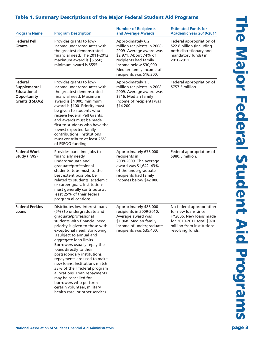# **Table 1. Summary Descriptions of the Major Federal Student Aid Programs**

| <b>Program Name</b>                                                                   | <b>Program Description</b>                                                                                                                                                                                                                                                                                                                                                                                                                                                                                                                                                                 | <b>Number of Recipients</b><br>and Average Awards                                                                                                                                                              | <b>Estimated Funds for</b><br><b>Academic Year 2010-2011</b>                                                                                             |
|---------------------------------------------------------------------------------------|--------------------------------------------------------------------------------------------------------------------------------------------------------------------------------------------------------------------------------------------------------------------------------------------------------------------------------------------------------------------------------------------------------------------------------------------------------------------------------------------------------------------------------------------------------------------------------------------|----------------------------------------------------------------------------------------------------------------------------------------------------------------------------------------------------------------|----------------------------------------------------------------------------------------------------------------------------------------------------------|
| <b>Federal Pell</b><br><b>Grants</b>                                                  | Provides grants to low-<br>income undergraduates with<br>the greatest demonstrated<br>financial need. The 2011-2012<br>maximum award is \$5,550;<br>minimum award is \$555.                                                                                                                                                                                                                                                                                                                                                                                                                | Approximately 6.2<br>million recipients in 2008-<br>2009. Average award was<br>\$2,971. About 74% of<br>recipients had family<br>income below \$30,000.<br>Median family income of<br>recipients was \$16,300. | Federal appropriation of<br>\$22.8 billion (including<br>both discretionary and<br>mandatory funds) in<br>2010-2011.                                     |
| Federal<br>Supplemental<br><b>Educational</b><br>Opportunity<br><b>Grants (FSEOG)</b> | Provides grants to low-<br>income undergraduates with<br>the greatest demonstrated<br>financial need. Maximum<br>award is \$4,000; minimum<br>award is \$100. Priority must<br>be given to students who<br>receive Federal Pell Grants,<br>and awards must be made<br>first to students who have the<br>lowest expected family<br>contributions. Institutions<br>must contribute at least 25%<br>of FSEOG funding.                                                                                                                                                                         | Approximately 1.5<br>million recipients in 2008-<br>2009. Average award was<br>\$716. Median family<br>income of recipients was<br>\$14,200.                                                                   | Federal appropriation of<br>\$757.5 million.                                                                                                             |
| <b>Federal Work-</b><br><b>Study (FWS)</b>                                            | Provides part-time jobs to<br>financially needy<br>undergraduate and<br>graduate/professional<br>students. Jobs must, to the<br>best extent possible, be<br>related to students' academic<br>or career goals. Institutions<br>must generally contribute at<br>least 25% of their federal<br>program allocations.                                                                                                                                                                                                                                                                           | Approximately 678,000<br>recipients in<br>2008-2009. The average<br>award was \$1,642. 43%<br>of the undergraduate<br>recipients had family<br>incomes below \$42,000.                                         | Federal appropriation of<br>\$980.5 million.                                                                                                             |
| <b>Federal Perkins</b><br>Loans                                                       | Distributes low-interest loans<br>(5%) to undergraduate and<br>graduate/professional<br>students with financial need;<br>priority is given to those with<br>exceptional need. Borrowing<br>is subject to annual and<br>aggregate loan limits.<br>Borrowers usually repay the<br>loans directly to their<br>postsecondary institutions;<br>repayments are used to make<br>new loans. Institutions match<br>33% of their federal program<br>allocations. Loan repayments<br>may be cancelled for<br>borrowers who perform<br>certain volunteer, military,<br>health care, or other services. | Approximately 488,000<br>recipients in 2009-2010.<br>Average award was<br>\$1,968. Median family<br>income of undergraduate<br>recipients was \$35,400.                                                        | No federal appropriation<br>for new loans since<br>FY2006. New loans made<br>for 2010-2011 total \$970<br>million from institutions'<br>revolving funds. |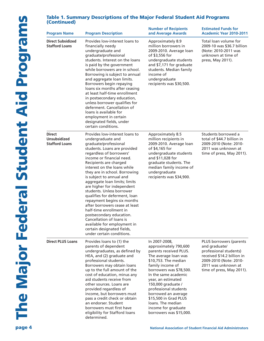# **Table 1. Summary Descriptions of the Major Federal Student Aid Programs (Continued)**

| <b>Program Name</b>                                           | <b>Program Description</b>                                                                                                                                                                                                                                                                                                                                                                                                                                                                                                                                                                                                                                             | <b>Number of Recipients</b><br>and Average Awards                                                                                                                                                                                                                                                                                                                                   | <b>Estimated Funds for</b><br><b>Academic Year 2010-2011</b>                                                                                                                   |
|---------------------------------------------------------------|------------------------------------------------------------------------------------------------------------------------------------------------------------------------------------------------------------------------------------------------------------------------------------------------------------------------------------------------------------------------------------------------------------------------------------------------------------------------------------------------------------------------------------------------------------------------------------------------------------------------------------------------------------------------|-------------------------------------------------------------------------------------------------------------------------------------------------------------------------------------------------------------------------------------------------------------------------------------------------------------------------------------------------------------------------------------|--------------------------------------------------------------------------------------------------------------------------------------------------------------------------------|
| <b>Direct Subsidized</b><br><b>Stafford Loans</b>             | Provides low-interest loans to<br>financially needy<br>undergraduate and<br>graduate/professional<br>students. Interest on the loans<br>is paid by the government<br>while borrowers are in school.<br>Borrowing is subject to annual<br>and aggregate loan limits.<br>Borrowers begin repaying<br>loans six months after ceasing<br>at least half-time enrollment<br>in postsecondary education,<br>unless borrower qualifies for<br>deferment. Cancellation of<br>loans is available for<br>employment in certain<br>designated fields, under<br>certain conditions.                                                                                                 | Approximately 8.9<br>million borrowers in<br>2009-2010. Average loan<br>of \$3,556 for<br>undergraduate students<br>and \$7,171 for graduate<br>students. Median family<br>income of<br>undergraduate<br>recipients was \$30,500.                                                                                                                                                   | Total loan volume for<br>2009-10 was \$36.7 billion<br>(Note: 2010-2011 was<br>unknown at time of<br>press, May 2011).                                                         |
| <b>Direct</b><br><b>Unsubsidized</b><br><b>Stafford Loans</b> | Provides low-interest loans to<br>undergraduate and<br>graduate/professional<br>students. Loans are provided<br>regardless of borrowers'<br>income or financial need.<br>Recipients are charged<br>interest on the loans while<br>they are in school. Borrowing<br>is subject to annual and<br>aggregate loan limits; limits<br>are higher for independent<br>students. Unless borrower<br>qualifies for deferment, loan<br>repayment begins six months<br>after borrowers cease at least<br>half-time enrollment in<br>postsecondary education.<br>Cancellation of loans is<br>available for employment in<br>certain designated fields,<br>under certain conditions. | Approximately 8.5<br>million recipients in<br>2009-2010. Average loan<br>of \$4,165 for<br>undergraduate students<br>and \$11,028 for<br>graduate students. The<br>median family income of<br>undergraduate<br>recipients was \$34,900.                                                                                                                                             | Students borrowed a<br>total of \$44.7 billion in<br>2009-2010 (Note: 2010-<br>2011 was unknown at<br>time of press, May 2011).                                                |
| <b>Direct PLUS Loans</b>                                      | Provides loans to (1) the<br>parents of dependent<br>undergraduates, as defined by<br>HEA, and (2) graduate and<br>professional students.<br>Borrowers may obtain loans<br>up to the full amount of the<br>cost of education, minus any<br>aid students receive from<br>other sources. Loans are<br>provided regardless of<br>income, but borrowers must<br>pass a credit check or obtain<br>an endorser. Student<br>borrowers must first have<br>eligibility for Stafford loans<br>determined.                                                                                                                                                                        | In 2007-2008,<br>approximately 790,600<br>parents received PLUS.<br>The average loan was<br>\$10,753. The median<br>family income of<br>borrowers was \$78,500.<br>In the same academic<br>year, an estimated<br>150,000 graduate /<br>professional students<br>borrowed an average<br>\$15,500 in Grad PLUS<br>loans. The median<br>income for graduate<br>borrowers was \$15,000. | PLUS borrowers (parents<br>and graduate/<br>professional students)<br>received \$14.2 billion in<br>2009-2010 (Note: 2010-<br>2011 was unknown at<br>time of press, May 2011). |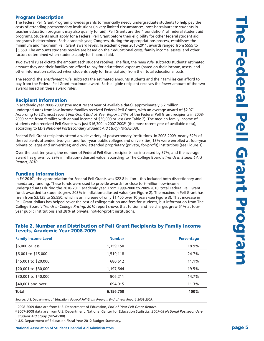# **Program Description**

The Federal Pell Grant Program provides grants to financially needy undergraduate students to help pay the costs of attending postsecondary institutions (in very limited circumstances, post-baccalaureate students in teacher education programs may also qualify for aid). Pell Grants are the "foundation" of federal student aid programs. Students must apply for a Federal Pell Grant before their eligibility for other federal student aid programs is determined. Each academic year, Congress, during the appropriations process, establishes the minimum and maximum Pell Grant award levels. In academic year 2010-2011, awards ranged from \$555 to \$5,550. The amounts students receive are based on their educational costs, family income, assets, and other factors determined when students apply for financial aid.

Two award rules dictate the amount each student receives. The first, the *need rule*, subtracts students' estimated amount they and their families can afford to pay for educational expenses (based on their income, assets, and other information collected when students apply for financial aid) from their total educational costs.

The second, the *entitlement rule*, subtracts the estimated amounts students and their families can afford to pay from the Federal Pell Grant maximum award. Each eligible recipient receives the *lower* amount of the two awards based on these award rules.

# **Recipient Information**

In academic year 2008-20091 (the most recent year of available data), approximately 6.2 million undergraduates from low-income families received Federal Pell Grants, with an average award of \$2,971. According to ED's most recent *Pell Grant End of Year Report*, 74% of the Federal Pell Grant recipients in 2008- 2009 came from families with annual income of \$30,000 or less (see Table 2). The median family income of students who received Pell Grants was just \$16,300 in 2007-20082 (the most recent year of available data), according to ED's *National Postsecondary Student Aid Study* (NPSAS:08).

Federal Pell Grant recipients attend a wide variety of postsecondary institutions. In 2008-2009, nearly 62% of the recipients attended two-year and four-year public colleges and universities; 13% were enrolled at four-year private colleges and universities; and 24% attended proprietary (private, for-profit) institutions (see Figure 1).

Over the past ten years, the number of Federal Pell Grant recipients has increased by 37%, and the average award has grown by 29% in inflation-adjusted value, according to The College Board's *Trends in Student Aid Report, 2010.*

# **Funding Information**

In FY 20103, the appropriation for Federal Pell Grants was \$22.8 billion—this included both discretionary and mandatory funding. These funds were used to provide awards for close to 9 million low-income undergraduates during the 2010-2011 academic year. From 1999-2000 to 2009-2010, total Federal Pell Grant funds awarded to students grew 203% in inflation-adjusted value (see Figure 2). The maximum Pell Grant has risen from \$3,125 to \$5,550, which is an increase of only \$1,400 over 10 years (see Figure 3). That increase in Pell Grant dollars has helped cover the cost of college tuition and fees for students, but information from The College Board's *Trends in College Pricing, 2010* report shows that tuition and fee charges grew 64% at fouryear public institutions and 28% at private, not-for-profit institutions.

#### **Table 2. Number and Distribution of Pell Grant Recipients by Family Income Levels, Academic Year 2008-2009**

| <b>Family Income Level</b> | <b>Number</b> | <b>Percentage</b> |
|----------------------------|---------------|-------------------|
| \$6,000 or less            | 1,159,150     | 18.9%             |
| \$6,001 to \$15,000        | 1,519,118     | 24.7%             |
| \$15,001 to \$20,000       | 680,612       | 11.1%             |
| \$20,001 to \$30,000       | 1,197,644     | 19.5%             |
| \$30,001 to \$40,000       | 906,211       | 14.7%             |
| \$40,001 and over          | 694,015       | 11.3%             |
| <b>Total</b>               | 6,156,750     | 100%              |

Source: U.S. Department of Education, *Federal Pell Grant Program End-of-year Report, 2008-2009.*

<sup>1</sup> 2008-2009 data are from U.S. Department of Education, *End-of-Year Pell Grant Report.*

<sup>2</sup> 2007-2008 data are from U.S. Department, National Center for Education Statistics, *2007-08 National Postsecondary Student Aid Study* (NPSAS:08).

<sup>3</sup> U.S. Department of Education Fiscal Year 2012 Budget Summary.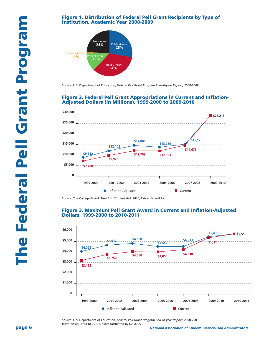#### **Figure 1. Distribution of Federal Pell Grant Recipients by Type of Institution, Academic Year 2008-2009**



Source: U.S. Department of Education, *Federal Pell Grant Program End-of-year Report, 2008-2009.*

#### **Figure 2. Federal Pell Grant Appropriations in Current and Inflation-Adjusted Dollars (in Millions), 1999-2000 to 2009-2010**



Source: The College Board, *Trends in Student Aid, 2010*; Tables 1a and 2a.

#### **Figure 3. Maximum Pell Grant Award in Current and Inflation-Adjusted Dollars, 1999-2000 to 2010-2011**



Source: U.S. Department of Education, *Federal Pell Grant Program End-of-year Report,* 2008-2009. Inflation-adjusted to 2010 Dollars calculated by NASFAA.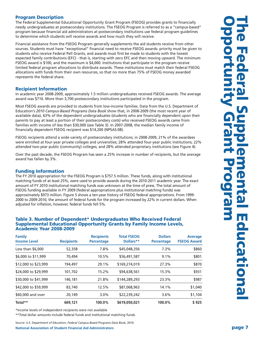# **Program Description**

The Federal Supplemental Educational Opportunity Grant Program (FSEOG) provides grants to financially needy undergraduates at postsecondary institutions. The FSEOG Program is referred to as a "campus-based" program because financial aid administrators at postsecondary institutions use federal program guidelines to determine which students will receive awards and how much they will receive.

Financial assistance from the FSEOG Program generally supplements the aid students receive from other sources. Students must have "exceptional" financial need to receive FSEOG awards: priority must be given to students who receive Federal Pell Grants, and awards must first be made to students with the lowest expected family contributions (EFC) - that is, starting with zero EFC and then moving upward. The minimum FSEOG award is \$100, and the maximum is \$4,000. Institutions that participate in the program receive limited federal program allocations to distribute awards. These institutions must match their federal FSEOG allocations with funds from their own resources, so that no more than 75% of FSEOG money awarded represents the federal share.

# **Recipient Information**

In academic year 2008-2009, approximately 1.5 million undergraduates received FSEOG awards. The average award was \$716. More than 3,700 postsecondary institutions participated in the program.

Most FSEOG awards are provided to students from low-income families. Data from the U.S. Department of Education's *2010 Campus-Based Programs Data Book* show that, in 2008-2009 (the most recent year of available data), 63% of the dependent undergraduates (students who are financially dependent upon their parents to pay at least a portion of their postsecondary costs) who received FSEOG awards came from families with income of less than \$30,000 (see Table 3). In 2007-2008, the median family income of financially dependent FSEOG recipient was \$14,200 (NPSAS:08).

FSEOG recipients attend a wide variety of postsecondary institutions; in 2008-2009, 21% of the awardees were enrolled at four-year private colleges and universities; 28% attended four-year public institutions; 22% attended two-year public (community) colleges; and 28% attended proprietary institutions (see Figure 4).

Over the past decade, the FSEOG Program has seen a 25% increase in number of recipients, but the average award has fallen by 3%.

## **Funding Information**

The FY 2010 appropriation for the FSEOG Program is \$757.5 million. These funds, along with institutional matching funds of at least 25%, were used to provide awards during the 2010-2011 academic year. The exact amount of FY 2010 institutional matching funds was unknown at the time of press. The total amount of FSEOG funding available in FY 2009 (federal appropriations plus institutional matching funds) was approximately \$973 million. Figure 5 shows a ten-year history of FSEOG federal appropriations. From 1999- 2000 to 2009-2010, the amount of federal funds for the program increased by 22% in current dollars. When adjusted for inflation, however, federal funds fell 5%.

#### **Table 3. Number of Dependent\* Undergraduates Who Received Federal Supplemental Educational Opportunity Grants by Family Income Levels, Academic Year 2008-2009**

| <b>Family</b><br><b>Income Level</b> | <b>Recipients</b> | <b>Recipients</b><br><b>Percentage</b> | <b>Total FSEOG</b><br>Dollars** | <b>Dollars</b><br><b>Percentage</b> | <b>Average</b><br><b>FSEOG Award</b> |
|--------------------------------------|-------------------|----------------------------------------|---------------------------------|-------------------------------------|--------------------------------------|
| Less than $$6,000$                   | 52,358            | 7.8%                                   | \$45,048,356                    | 7.3%                                | \$860                                |
| \$6,000 to \$11,999                  | 70,494            | 10.5%                                  | \$56,491,587                    | 9.1%                                | \$801                                |
| \$12,000 to \$23,999                 | 194,497           | 29.1%                                  | \$169,274,019                   | 27.3%                               | \$870                                |
| \$24,000 to \$29,999                 | 101.702           | 15.2%                                  | \$94,638,561                    | 15.3%                               | \$931                                |
| \$30,000 to \$41,999                 | 146,181           | 21.8%                                  | \$144,289,293                   | 23.3%                               | \$987                                |
| \$42,000 to \$59,999                 | 83,740            | 12.5%                                  | \$87,068,963                    | 14.1%                               | \$1,040                              |
| \$60,000 and over                    | 20,149            | 3.0%                                   | \$22,239,242                    | 3.6%                                | \$1,104                              |
| Total**                              | 669,121           | 100.0%                                 | \$619,050,021                   | 100.0%                              | \$925                                |

\*Income levels of independent recipients were not available

\*\*Total dollar amounts include federal funds and institutional matching funds.

Source: U.S. Department of Education, *Federal Campus-Based Programs Data Book,* 2010.

**National Association of Student Financial Aid Administrators page 7**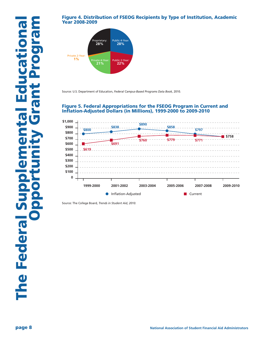# **Figure 4. Distribution of FSEOG Recipients by Type of Institution, Academic Year 2008-2009**



Source: U.S. Department of Education, *Federal Campus-Based Programs Data Book,* 2010.

# **Figure 5. Federal Appropriations for the FSEOG Program in Current and Inflation-Adjusted Dollars (in Millions), 1999-2000 to 2009-2010**



Source: The College Board, *Trends in Student Aid, 2010.*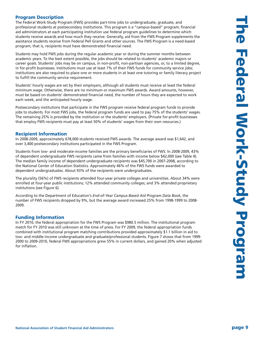# **Program Description**

The Federal Work-Study Program (FWS) provides part-time jobs to undergraduate, graduate, and professional students at postsecondary institutions. This program is a "campus-based" program; financial aid administrators at each participating institution use federal program guidelines to determine which students receive awards and how much they receive. Generally, aid from the FWS Program supplements the assistance students receive from Federal Pell Grants and other sources. The FWS Program is a need-based program; that is, recipients must have demonstrated financial need.

Students may hold FWS jobs during the regular academic year or during the summer months between academic years. To the best extent possible, the jobs should be related to students' academic majors or career goals. Students' jobs may be on campus, in non-profit, non-partisan agencies, or, to a limited degree, in for-profit businesses. Institutions must use at least 7% of their FWS funds for community service jobs; institutions are also required to place one or more students in at least one tutoring or family literacy project to fulfill the community service requirement.

Students' hourly wages are set by their employers, although all students must receive at least the federal minimum wage. Otherwise, there are no minimum or maximum FWS awards. Award amounts, however, must be based on students' demonstrated financial need, the number of hours they are expected to work each week, and the anticipated hourly wage.

Postsecondary institutions that participate in the FWS program receive federal program funds to provide jobs to students. For most FWS jobs, the federal program funds are used to pay 75% of the students' wages. The remaining 25% is provided by the institution or the students' employers. (Private for-profit businesses that employ FWS recipients must pay at least 50% of students' wages from their own resources.)

# **Recipient Information**

In 2008-2009, approximately 678,000 students received FWS awards. The average award was \$1,642, and over 3,400 postsecondary institutions participated in the FWS Program.

Students from low- and moderate-income families are the primary beneficiaries of FWS. In 2008-2009, 43% of dependent undergraduate FWS recipients came from families with income below \$42,000 (see Table 4). The median family income of dependent undergraduate recipients was \$45,700 in 2007-2008, according to the National Center of Education Statistics. Approximately 46% of the FWS funds were awarded to dependent undergraduates. About 93% of the recipients were undergraduates.

The plurality (56%) of FWS recipients attended four-year private colleges and universities. About 34% were enrolled at four-year public institutions; 12% attended community colleges; and 3% attended proprietary institutions (see Figure 6).

According to the Department of Education's *End-of-Year Campus-Based Aid Program Data Book*, the number of FWS recipients dropped by 9%, but the average award increased 25% from 1998-1999 to 2008- 2009.

#### **Funding Information**

In FY 2010, the federal appropriation for the FWS Program was \$980.5 million. The institutional program match for FY 2010 was still unknown at the time of press. For FY 2009, the federal appropriation funds combined with institutional program matching contributions provided approximately \$1.1 billion in aid to low- and middle-income undergraduate and graduate/professional students. Figure 7 shows that from 1999- 2000 to 2009-2010, federal FWS appropriations grew 55% in current dollars, and gained 20% when adjusted for inflation.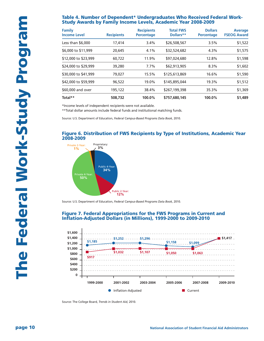## **Table 4. Number of Dependent\* Undergraduates Who Received Federal Work-Study Awards by Family Income Levels, Academic Year 2008-2009**

| <b>Family</b><br><b>Income Level</b> | <b>Recipients</b> | <b>Recipients</b><br><b>Percentage</b> | <b>Total FWS</b><br>Dollars** | <b>Dollars</b><br><b>Percentage</b> | <b>Average</b><br><b>FSEOG Award</b> |
|--------------------------------------|-------------------|----------------------------------------|-------------------------------|-------------------------------------|--------------------------------------|
| Less than $$6,000$                   | 17,414            | 3.4%                                   | \$26,508,567                  | 3.5%                                | \$1,522                              |
| \$6,000 to \$11,999                  | 20,645            | 4.1%                                   | \$32,524,682                  | 4.3%                                | \$1,575                              |
| \$12,000 to \$23,999                 | 60,722            | 11.9%                                  | \$97,024,680                  | 12.8%                               | \$1,598                              |
| \$24,000 to \$29,999                 | 39,280            | 7.7%                                   | \$62,913,905                  | 8.3%                                | \$1,602                              |
| \$30,000 to \$41,999                 | 79,027            | 15.5%                                  | \$125,613,869                 | 16.6%                               | \$1,590                              |
| \$42,000 to \$59,999                 | 96,522            | 19.0%                                  | \$145,895,044                 | 19.3%                               | \$1,512                              |
| \$60,000 and over                    | 195,122           | 38.4%                                  | \$267,199,398                 | 35.3%                               | \$1,369                              |
| Total**                              | 508,732           | $100.0\%$                              | \$757,680,145                 | 100.0%                              | \$1,489                              |

\*Income levels of independent recipients were not available.

\*\*Total dollar amounts include federal funds and institutional matching funds.

Source: U.S. Department of Education, *Federal Campus-Based Programs Data Book,* 2010.

#### **Figure 6. Distribution of FWS Recipients by Type of Institutions, Academic Year 2008-2009**



Source: U.S. Department of Education, *Federal Campus-Based Programs Data Book,* 2010.

#### **Figure 7. Federal Appropriations for the FWS Programs in Current and Inflation-Adjusted Dollars (in Millions), 1999-2000 to 2009-2010**



Source: The College Board, *Trends in Student Aid,* 2010.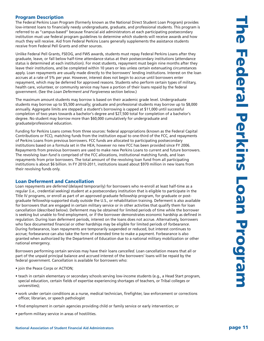# **Program Description**

The Federal Perkins Loan Program (formerly known as the National Direct Student Loan Program) provides low-interest loans to financially needy undergraduate, graduate, and professional students. This program is referred to as "campus-based" because financial aid administrators at each participating postsecondary institution must use federal program guidelines to determine which students will receive awards and how much they will receive. Aid from Federal Perkins Loans generally supplements the assistance students receive from Federal Pell Grants and other sources.

Unlike Federal Pell Grants, FSEOG, and FWS awards, students must repay Federal Perkins Loans after they graduate, leave, or fall below half-time attendance status at their postsecondary institutions (attendance status is determined at each institution). For most students, repayment must begin nine months after they leave their institutions, and be completed within 10 years or less unless certain extenuating circumstances apply. Loan repayments are usually made directly to the borrowers' lending institutions. Interest on the loan accrues at a rate of 5% per year. However, interest does not begin to accrue until borrowers enter repayment, which may be deferred for approved reasons. Students who perform certain types of military, health care, volunteer, or community service may have a portion of their loans repaid by the federal government. (See the *Loan Deferment and Forgiveness* section below.)

The maximum amount students may borrow is based on their academic grade level. Undergraduate students may borrow up to \$5,500 annually; graduate and professional students may borrow up to \$8,000 annually. Aggregate limits are stepped: a student's borrowing is capped at \$11,000 until successful completion of two years towards a bachelor's degree and \$27,500 total for completion of a bachelor's degree. No student may borrow more than \$60,000 cumulatively for undergraduate and graduate/professional education.

Funding for Perkins Loans comes from three sources: federal appropriations (known as the Federal Capital Contributions or FCC), matching funds from the institution equal to one-third of the FCC, and repayments of Perkins Loans from previous borrowers. FCC funds are allocated to participating postsecondary institutions based on a formula set in the HEA; however no new FCC has been provided since FY 2006. Repayments from previous borrowers are used to make new Perkins Loans to current and future borrowers. The *revolving loan fund* is comprised of the FCC allocations, institutional matching funds, and loan repayments from prior borrowers. The total amount of the revolving loan fund from all participating institutions is about \$6 billion. In FY 2010-2011, institutions issued about \$970 million in new loans from their revolving funds only.

# **Loan Deferment and Cancellation**

Loan repayments are *deferred* (delayed temporarily) for borrowers who re-enroll at least half-time as a regular (i.e., credential seeking) student at a postsecondary institution that is eligible to participate in the Title IV programs, or enroll as part of an approved graduate fellowship program, for graduate or postgraduate fellowship-supported study outside the U.S., or rehabilitation training. Deferment is also available for borrowers that are engaged in certain military service or in other activities that qualify them for loan cancellation (described below). Deferment may be obtained for limited periods of time while the borrower is seeking but unable to find employment, or if the borrower demonstrates economic hardship as defined in regulation. During loan deferment periods, interest on the loans does not accrue. Alternatively, borrowers who face documented financial or other hardships may be eligible for limited periods of *forbearance*. During forbearance, loan repayments are temporarily suspended or reduced, but interest continues to accrue; forbearance can also take the form of extended time to make a payment. Forbearance is also granted when authorized by the Department of Education due to a national military mobilization or other national emergency.

Borrowers performing certain services may have their loans *cancelled*. Loan cancellation means that all or part of the unpaid principal balance and accrued interest of the borrowers' loans will be repaid by the federal government. Cancellation is available for borrowers who:

- join the Peace Corps or ACTION;
- teach in certain elementary or secondary schools serving low-income students (e.g., a Head Start program, special education, certain fields of expertise experiencing shortages of teachers, or Tribal colleges or universities);
- work under certain conditions as a nurse, medical technician, firefighter, law enforcement or corrections officer, librarian, or speech pathologist
- find employment in certain agencies providing child or family service or early intervention; or
- perform military service in areas of hostilities.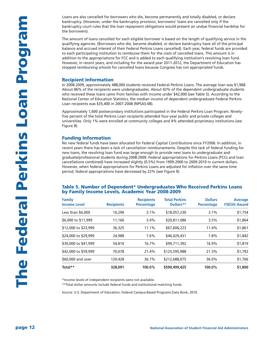Loans are also cancelled for borrowers who die, become permanently and totally disabled, or declare bankruptcy. (However, under the bankruptcy provision, borrowers' loans are cancelled only if the bankruptcy court rules that the loan repayment obligations would present an undue financial hardship for the borrowers).

The amount of loans cancelled for each eligible borrower is based on the length of qualifying service in the qualifying agencies. (Borrowers who die, become disabled, or declare bankruptcy have all of the principal balance and accrued interest of their Federal Perkins Loans cancelled). Each year, federal funds are provided to each participating institution to reimburse them for the costs of cancelled loans. This amount is in addition to the appropriations for FCC and is added to each qualifying institution's revolving loan fund. However, in recent years, and including for the award year 2011-2012, the Department of Education has stopped reimbursing schools for cancelled loans because Congress has not appropriated funds.

#### **Recipient Information**

In 2008-2009, approximately 488,000 students received Federal Perkins Loans. The average loan was \$1,968. About 86% of the recipients were undergraduates. About 42% of the dependent undergraduate students who received these loans came from families with income under \$42,000 (see Table 5). According to the National Center of Education Statistics, the median income of dependent undergraduate Federal Perkins Loan recipients was \$35,400 in 2007-2008 (NPSAS:08).

Approximately 1,600 postsecondary institutions participated in the Federal Perkins Loan Program. Ninetyfive percent of the total Perkins Loan recipients attended four-year public and private colleges and universities. Only 1% were enrolled at community colleges and 4% attended proprietary institutions (see Figure 8).

#### **Funding Information**

No new federal funds have been allocated for Federal Capital Contributions since FY2006. In addition, in recent years there has been a lack of cancellation reimbursements. Despite this lack of federal funding for new loans, the revolving loan fund was large enough to provide new loans to undergraduate and graduate/professional students during 2008-2009. Federal appropriations for Perkins Loans (FCCs and loan cancellations combined) have increased slightly (0.5%) from 1999-2000 to 2009-2010 in current dollars. However, when federal appropriations for Perkins Loans are adjusted for inflation over the same time period, federal appropriations have decreased by 22% (see Figure 9).

#### **Table 5. Number of Dependent\* Undergraduates Who Received Perkins Loans by Family Income Levels, Academic Year 2008-2009**

| <b>Family</b><br><b>Income Level</b> | <b>Recipients</b> | <b>Recipients</b><br><b>Percentage</b> | <b>Total Perkins</b><br>Dollars** | <b>Dollars</b><br><b>Percentage</b> | <b>Average</b><br><b>FSEOG Award</b> |
|--------------------------------------|-------------------|----------------------------------------|-----------------------------------|-------------------------------------|--------------------------------------|
| Less than $$6,000$                   | 10,296            | 3.1%                                   | \$18,057,230                      | 3.1%                                | \$1,754                              |
| \$6,000 to \$11,999                  | 11,166            | 3.4%                                   | \$20,811,086                      | 3.5%                                | \$1,864                              |
| \$12,000 to \$23,999                 | 36,325            | 11.1%                                  | \$67,606,223                      | 11.4%                               | \$1,861                              |
| \$24,000 to \$29,999                 | 24,988            | 7.6%                                   | \$46,029,431                      | 7.8%                                | \$1,842                              |
| \$30,000 to \$41,999                 | 54,810            | 16.7%                                  | \$99,711,392                      | 16.9%                               | \$1,819                              |
| \$42,000 to \$59,999                 | 70.078            | 21.4%                                  | \$125,595,988                     | 21.3%                               | \$1,792                              |
| \$60,000 and over                    | 120,428           | 36.7%                                  | \$212,688,075                     | 36.0%                               | \$1,766                              |
| Total**                              | 328,091           | 100.0%                                 | \$590,499,425                     | 100.0%                              | \$1,800                              |

\*Income levels of independent recipients were not available.

\*\*Total dollar amounts include federal funds and institutional matching funds.

Source: U.S. Department of Education, Federal Campus-Based Programs Data Book, 2010.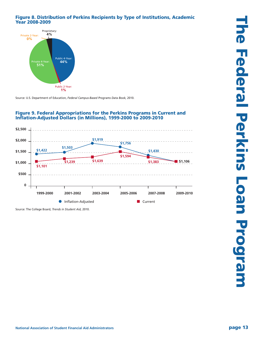# **Figure 8. Distribution of Perkins Recipients by Type of Institutions, Academic Year 2008-2009**



Source: U.S. Department of Education, *Federal Campus-Based Programs Data Book,* 2010.



#### **Figure 9. Federal Appropriations for the Perkins Programs in Current and Inflation-Adjusted Dollars (in Millions), 1999-2000 to 2009-2010**

Source: The College Board, *Trends in Student Aid,* 2010.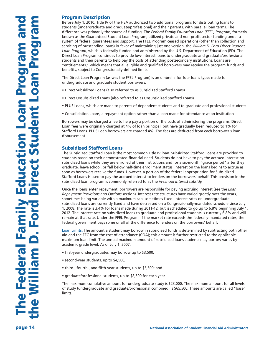# **Program Description**

Before July 1, 2010, Title IV of the HEA authorized two additional programs for distributing loans to students (undergraduate and graduate/professional) and their parents, with parallel loan terms. The difference was primarily the source of funding. The *Federal Family Education Loan (FFEL) Program,* formerly known as the Guaranteed Student Loan Program, utilized private and non-profit sector funding under a system of federal guarantees and support. The FFEL Program ceased operations (other than collection and servicing of outstanding loans) in favor of maintaining just one version, the *William D. Ford Direct Student Loan Program,* which is federally funded and administered by the U.S. Department of Education (ED). The Direct Loan Program continues to provide low-interest loans to undergraduate and graduate/professional students and their parents to help pay the costs of attending postsecondary institutions. Loans are "entitlements," which means that all eligible and qualified borrowers may receive the program funds and benefits, subject to Congressionally-defined limits.

The Direct Loan Program (as was the FFEL Program) is an umbrella for four loans types made to undergraduate and graduate student borrowers:

- Direct Subsidized Loans (also referred to as Subsidized Stafford Loans)
- Direct Unsubsidized Loans (also referred to as Unsubsidized Stafford Loans)
- PLUS Loans, which are made to parents of dependent students and to graduate and professional students
- Consolidation Loans, a repayment option rather than a loan made for attendance at an institution

Borrowers may be charged a fee to help pay a portion of the costs of administering the programs. Direct Loan fees were originally charged at 4% of loan principal, but have gradually been reduced to 1% for Stafford Loans. PLUS Loan borrowers are charged 4%. The fees are deducted from each borrower's loan disbursement.

# **Subsidized Stafford Loans**

The Subsidized Stafford Loan is the most common Title IV loan. Subsidized Stafford Loans are provided to students based on their demonstrated financial need. Students do not have to pay the accrued interest on subsidized loans while they are enrolled at their institutions and for a six-month "grace period" after they graduate, leave school, or fall below half-time enrollment status. Interest on the loans begins to accrue as soon as borrowers receive the funds. However, a portion of the federal appropriation for Subsidized Stafford Loans is used to pay the accrued interest to lenders on the borrowers' behalf. This provision in the subsidized loan program is commonly referred to as the *in-school interest subsidy.*

Once the loans enter repayment, borrowers are responsible for paying accruing interest (see the *Loan Repayment Provisions and Options* section). Interest rate structures have varied greatly over the years, sometimes being variable with a maximum cap, sometimes fixed. Interest rates on undergraduate subsidized loans are currently fixed and have decreased on a Congressionally-mandated schedule since July 1, 2008. The rate is 3.4% for loans made during 2011-12, but is scheduled to go up to 6.8% beginning July 1, 2012. The interest rate on subsidized loans to graduate and professional students is currently 6.8% and will remain at that rate. Under the FFEL Program, if the market rate exceeds the federally-mandated rates, the federal government pays some or all of the difference to lenders on the borrowers' behalf.

**Loan Limits:** The amount a student may borrow in subsidized funds is determined by subtracting both other aid and the EFC from the cost of attendance (COA); this amount is further restricted to the applicable maximum loan limit. The annual maximum amount of subsidized loans students may borrow varies by academic grade level. As of July 1, 2007:

- first-year undergraduates may borrow up to \$3,500;
- second-year students, up to \$4,500;
- third-, fourth-, and fifth-year students, up to \$5,500; and
- graduate/professional students, up to \$8,500 for each year.

The maximum cumulative amount for undergraduate study is \$23,000. The maximum amount for all levels of study (undergraduate and graduate/professional combined) is \$65,500. These amounts are called "base" limits.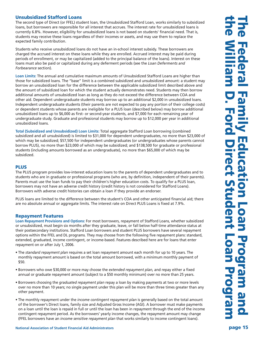# **Unsubsidized Stafford Loans**

The second type of Direct (or FFEL) student loan, the Unsubsidized Stafford Loan, works similarly to subsidized loans, but borrowers are responsible for all interest that accrues. The interest rate for unsubsidized loans is currently 6.8%. However, eligibility for unsubsidized loans is not based on students' financial need. That is, students may receive these loans regardless of their incomes or assets, and may use them to replace the expected family contribution.

Students who receive unsubsidized loans do not have an in-school interest subsidy. These borrowers are charged the accrued interest on these loans while they are enrolled. Accrued interest may be paid during periods of enrollment, or may be capitalized (added to the principal balance of the loans). Interest on these loans must also be paid or capitalized during any deferment periods (see the *Loan Deferments and Forbearance* section).

**Loan Limits:** The annual and cumulative maximum amounts of Unsubsidized Stafford Loans are higher than those for subsidized loans. The "base" limit is a combined subsidized and unsubsidized amount: a student may borrow an unsubsidized loan for the difference between the applicable subsidized limit described above and the amount of subsidized loan for which the student actually demonstrates need. Students may then borrow additional amounts of unsubsidized loan as long as they do not exceed the difference between COA and other aid. Dependent undergraduate students may borrow up to an additional \$2,000 in unsubsidized loans. Independent undergraduate students (their parents are not expected to pay any portion of their college costs) or dependent students whose parents are ineligible for a PLUS loan (described below) may borrow additional unsubsidized loans up to \$6,000 as first- or second-year students, and \$7,000 for each remaining year of undergraduate study. Graduate and professional students may borrow up to \$12,000 per year in additional unsubsidized loans.

**Total (Subsidized and Unsubsidized) Loan Limits:** Total aggregate Stafford Loan borrowing (combined subsidized and all unsubsidized) is limited to \$31,000 for dependent undergraduates, no more than \$23,000 of which may be subsidized; \$57,500 for independent undergraduates (or undergraduates whose parents cannot borrow PLUS), no more than \$23,000 of which may be subsidized; and \$138,500 for graduate or professional students (including amounts borrowed as an undergraduate), no more than \$65,000 of which may be subsidized.

# **PLUS**

The PLUS program provides low-interest education loans to the parents of dependent undergraduates and to students who are in graduate or professional programs (who are, by definition, independent of their parents). Parents must use the loan funds to pay their children's higher education costs. To qualify for a PLUS loan, borrowers may not have an adverse credit history (credit history is not considered for Stafford Loans). Borrowers with adverse credit histories can obtain a loan if they provide an endorser.

PLUS loans are limited to the difference between the student's COA and other anticipated financial aid; there are no absolute annual or aggregate limits. The interest rate on Direct PLUS Loans is fixed at 7.9%.

#### **Repayment Features**

**Loan Repayment Provisions and Options:** For most borrowers, repayment of Stafford Loans, whether subsidized or unsubsidized, must begin six months after they graduate, leave, or fall below half-time attendance status at their postsecondary institutions. Stafford Loan borrowers and student PLUS borrowers have several repayment options within the FFEL and DL programs. They may choose from the following five repayment plans: standard, extended, graduated, income contingent, or income-based. Features described here are for loans that enter repayment on or after July 1, 2006.

- The *standard repayment plan* requires a set loan repayment amount each month for up to 10 years. The monthly repayment amount is based on the total amount borrowed, with a minimum monthly payment of \$50.
- Borrowers who owe \$30,000 or more may choose the *extended repayment plan,* and repay either a fixed annual or graduate repayment amount (subject to a \$50 monthly minimum) over no more than 25 years.
- Borrowers choosing the *graduated repayment plan* repay a loan by making payments at two or more levels over no more than 10 years; no single payment under this plan will be more than three times greater than any other payment.
- The monthly repayment under the *income contingent repayment plan* is generally based on the total amount of the borrower's Direct loans, family size and Adjusted Gross Income (AGI). A borrower must make payments on a loan until the loan is repaid in full or until the loan has been in repayment through the end of the income contingent repayment period. As the borrowers' yearly income changes, the repayment amount may change (FFEL borrowers have an *income sensitive repayment plan* that works similarly to income contingent loans).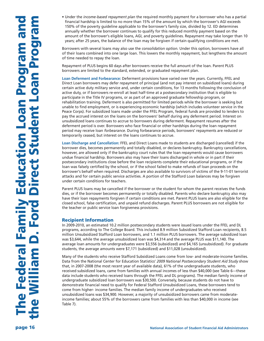• Under the *income-based repayment plan* the required monthly payment for a borrower who has a partial financial hardship is limited to no more than 15% of the amount by which the borrower's AGI exceeds 150% of the poverty guideline applicable to the borrower's family size, divided by 12. ED determines annually whether the borrower continues to qualify for this reduced monthly payment based on the amount of the borrower's eligible loans, AGI, and poverty guidelines. Repayment may take longer than 10 years; after 25 years, the balance of the loan may be forgiven if certain qualifying conditions are met.

Borrowers with several loans may also use the *consolidation option.* Under this option, borrowers have all of their loans combined into one large loan. This lowers the monthly repayment, but lengthens the amount of time needed to repay the loan.

Repayment of PLUS begins 60 days after borrowers receive the full amount of the loan. Parent PLUS borrowers are limited to the standard, extended, or graduated repayment plan.

**Loan Deferment and Forbearance:** Deferment provisions have varied over the years. Currently, FFEL and Direct Loan borrowers may defer repayment of principal (and not pay interest on subsidized loans) during certain active duty military service and, under certain conditions, for 13 months following the conclusion of active duty, or if borrowers re-enroll at least half-time at a postsecondary institution that is eligible to participate in the Title IV programs, or as part of an approved graduate fellowship program, or rehabilitation training. Deferment is also permitted for limited periods while the borrower is seeking but unable to find employment, or is experiencing economic hardship (which includes volunteer service in the Peace Corps). For subsidized loans made under the FFEL Program, federal funds are provided to lenders to pay the accrued interest on the loans on the borrowers' behalf during any deferment period. Interest on unsubsidized loans continues to accrue to borrowers during deferment. Repayment resumes after the deferment period is over. Borrowers who face financial or other hardships during the loan repayment period may receive loan *forbearance.* During forbearance periods, borrowers' repayments are reduced or temporarily ceased, but interest on the loans continues to accrue.

**Loan Discharge and Cancellation:** FFEL and Direct Loans made to students are discharged (cancelled) if the borrower dies, becomes permanently and totally disabled, or declares bankruptcy. Bankruptcy cancellations, however, are allowed only if the bankruptcy court rules that the loan repayments would cause borrowers undue financial hardship. Borrowers also may have their loans discharged in whole or in part if their postsecondary institutions close before the loan recipients complete their educational programs, or if the loan was falsely certified by the school, or if the school failed to make refunds of loan proceeds on the borrower's behalf when required. Discharges are also available to survivors of victims of the 9-11-01 terrorist attacks and for certain public service activities. A portion of the Stafford Loan balances may be forgiven under certain conditions for teachers.

Parent PLUS loans may be cancelled if the borrower or the student for whom the parent receives the funds dies, or if the borrower becomes permanently or totally disabled. Parents who declare bankruptcy also may have their loan repayments forgiven if certain conditions are met. Parent PLUS loans are also eligible for the closed school, false certification, and unpaid refund discharges. Parent PLUS borrowers are not eligible for the teacher or public service loan forgiveness provisions.

#### **Recipient Information**

In 2009-2010, an estimated 10.2 million postsecondary students were issued loans under the FFEL and DL programs, according to The College Board. This included 8.9 million Subsidized Stafford Loan recipients, 8.5 million Unsubsidized Stafford Loan borrowers, and 1.1 million PLUS borrowers. The average subsidized loan was \$3,644, while the average unsubsidized loan was \$4,314 and the average PLUS was \$11,140. The average loan amounts for undergraduates were \$3,556 (subsidized) and \$4,165 (unsubsidized). For graduate students, the average amounts were \$7,171 (subsidized) and \$11,028 (unsubsidized).

Many of the students who receive Stafford Subsidized Loans come from low- and moderate-income families. Data from the National Center for Education Statistics' *2009 National Postsecondary Student Aid Study* show that, in 2007-2008 (the most recent year of available data), 61% of the undergraduate students, who received subsidized loans, came from families with annual incomes of less than \$40,000 (see Table 6—these data include students who received loans through the FFEL and DL programs). The median family income of undergraduate subsidized loan borrowers was \$30,500. Conversely, because students do not have to demonstrate financial need to qualify for Federal Stafford Unsubsidized Loans, these borrowers tend to come from higher- income families. The median family income of undergraduates who received unsubsidized loans was \$34,900. However, a majority of unsubsidized borrowers came from moderateincome families; about 55% of the borrowers came from families with less than \$40,000 in income (see Table 7).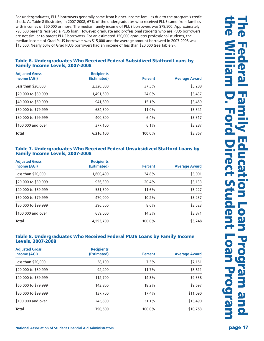For undergraduates, PLUS borrowers generally come from higher-income families due to the program's credit check. As Table 8 illustrates, in 2007-2008, 67% of the undergraduates who received PLUS came from families with incomes of \$60,000 or more. The median family income of PLUS borrowers was \$78,500. Approximately 790,600 parents received a PLUS loan. However, graduate and professional students who are PLUS borrowers are not similar to parent PLUS borrowers. For an estimated 150,000 graduate/ professional students, the median income of Grad PLUS borrowers was \$15,000 and the average amount borrowed in 2007-2008 was \$15,500. Nearly 60% of Grad PLUS borrowers had an income of less than \$20,000 (see Table 9).

# **Table 6. Undergraduates Who Received Federal Subsidized Stafford Loans by Family Income Levels, 2007-2008**

| <b>Adjusted Gross</b><br>Income (AGI) | <b>Recipients</b><br>(Estimated) | <b>Percent</b> | <b>Average Award</b> |
|---------------------------------------|----------------------------------|----------------|----------------------|
| Less than \$20,000                    | 2,320,800                        | 37.3%          | \$3,288              |
| \$20,000 to \$39,999                  | 1,491,500                        | 24.0%          | \$3,437              |
| \$40,000 to \$59.999                  | 941,600                          | 15.1%          | \$3,459              |
| \$60,000 to \$79,999                  | 684,300                          | 11.0%          | \$3,341              |
| \$80,000 to \$99,999                  | 400,800                          | 6.4%           | \$3,317              |
| \$100,000 and over                    | 377,100                          | 6.1%           | \$3,287              |
| <b>Total</b>                          | 6,216,100                        | 100.0%         | \$3,357              |

#### **Table 7. Undergraduates Who Received Federal Unsubsidized Stafford Loans by Family Income Levels, 2007-2008**

| <b>Adjusted Gross</b><br>Income (AGI) | <b>Recipients</b><br>(Estimated) | <b>Percent</b> | <b>Average Award</b> |
|---------------------------------------|----------------------------------|----------------|----------------------|
| Less than \$20,000                    | 1,600,400                        | 34.8%          | \$3,001              |
| \$20,000 to \$39,999                  | 936,300                          | 20.4%          | \$3,133              |
| \$40,000 to \$59.999                  | 531,500                          | 11.6%          | \$3,227              |
| \$60,000 to \$79,999                  | 470,000                          | 10.2%          | \$3,237              |
| \$80,000 to \$99,999                  | 396,500                          | 8.6%           | \$3,523              |
| \$100,000 and over                    | 659,000                          | 14.3%          | \$3,871              |
| <b>Total</b>                          | 4,593,700                        | $100.0\%$      | \$3,248              |

#### **Table 8. Undergraduates Who Received Federal PLUS Loans by Family Income Levels, 2007-2008**

| <b>Adjusted Gross</b><br>Income (AGI) | <b>Recipients</b><br>(Estimated) | <b>Percent</b> | <b>Average Award</b> |
|---------------------------------------|----------------------------------|----------------|----------------------|
| Less than \$20,000                    | 58,100                           | 7.3%           | \$7,151              |
| \$20,000 to \$39,999                  | 92,400                           | 11.7%          | \$8,611              |
| \$40,000 to \$59.999                  | 112,700                          | 14.3%          | \$9,338              |
| \$60,000 to \$79,999                  | 143,800                          | 18.2%          | \$9,697              |
| \$80,000 to \$99,999                  | 137,700                          | 17.4%          | \$11,090             |
| \$100,000 and over                    | 245,800                          | 31.1%          | \$13,490             |
| <b>Total</b>                          | 790,600                          | 100.0%         | \$10,753             |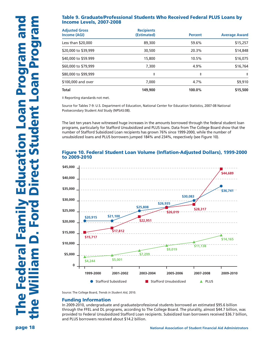# **Table 9. Graduate/Professional Students Who Received Federal PLUS Loans by Income Levels, 2007-2008**

| <b>Adjusted Gross</b><br>Income (AGI) | <b>Recipients</b><br>(Estimated) | <b>Percent</b> | <b>Average Award</b> |
|---------------------------------------|----------------------------------|----------------|----------------------|
| Less than \$20,000                    | 89,300                           | 59.6%          | \$15,257             |
| \$20,000 to \$39,999                  | 30,500                           | 20.3%          | \$14,848             |
| \$40,000 to \$59.999                  | 15,800                           | 10.5%          | \$16,075             |
| \$60,000 to \$79,999                  | 7,300                            | 4.9%           | \$16,764             |
| \$80,000 to \$99,999                  | ŧ                                | ŧ              | $\ddagger$           |
| \$100,000 and over                    | 7.000                            | 4.7%           | \$9,910              |
| <b>Total</b>                          | 149,900                          | 100.0%         | \$15,500             |

‡ Reporting standards not met.

Source for Tables 7-9: U.S. Department of Education, National Center for Education Statistics, 2007-08 National Postsecondary Student Aid Study (NPSAS:08).

The last ten years have witnessed huge increases in the amounts borrowed through the federal student loan programs, particularly for Stafford Unsubsidized and PLUS loans. Data from The College Board show that the number of Stafford Subsidized Loan recipients has grown 76% since 1999-2000, while the number of unsubsidized loans and PLUS borrowers jumped 184% and 234%, respectively (see Figure 10).

#### **Figure 10. Federal Student Loan Volume (Inflation-Adjusted Dollars), 1999-2000 to 2009-2010**



Source: The College Board, *Trends in Student Aid,* 2010.

#### **Funding Information**

In 2009-2010, undergraduate and graduate/professional students borrowed an estimated \$95.6 billion through the FFEL and DL programs, according to The College Board. The plurality, almost \$44.7 billion, was provided to Federal Unsubsidized Stafford Loan recipients. Subsidized loan borrowers received \$36.7 billion, and PLUS borrowers received about \$14.2 billion.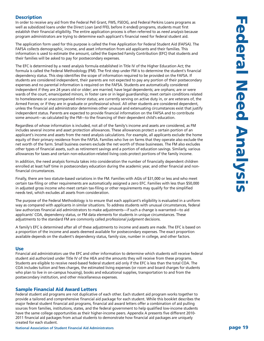# **Description**

In order to receive any aid from the Federal Pell Grant, FWS, FSEOG, and Federal Perkins Loans programs as well as subsidized loans under the Direct Loan (and FFEL before it ended) programs, students must first establish their financial eligibility. The entire application process is often referred to as *need analysis* because program administrators are trying to determine each applicant's financial need for federal student aid.

The application form used for this purpose is called the Free Application for Federal Student Aid (FAFSA). The FAFSA collects demographic, income, and asset information from aid applicants and their families. This information is used to estimate the amount, called the Expected Family Contribution (EFC) that students and their families will be asked to pay for postsecondary expenses.

The EFC is determined by a need analysis formula established in Title IV of the Higher Education Act; the formula is called the Federal Methodology (FM). The first step under FM is to determine the student's financial dependency status. This step identifies the scope of information required to be provided on the FAFSA. If students are considered independent, their parents are not expected to pay any portion of their postsecondary expenses and no parental information is required on the FAFSA. Students are automatically considered independent if they are 24 years old or older; are married; have legal dependents; are orphans; are or were wards of the court, emancipated minors, in foster care or in legal guardianship; meet certain conditions related to homelessness or unaccompanied minor status; are currently serving on active duty in, or are veterans of, the Armed Forces; or if they are in graduate or professional school. All other students are considered dependent, unless the financial aid administrator determines other unusual and extenuating circumstances exist that justify independent status. Parents are expected to provide financial information on the FAFSA and to contribute some amount—as calculated by the FM—to the financing of their dependent child's education.

Regardless of whose information is included, not all of the family's income and assets are considered, as FM includes several income and asset protection allowances. These allowances protect a certain portion of an applicant's income and assets from the need analysis calculations. For example, all applicants exclude the home equity of their primary residence from the FAFSA. Families who live on farms that they operate also exclude the net worth of the farm. Small business owners exclude the net worth of those businesses. The FM also excludes other types of financial assets, such as retirement savings and a portion of education savings. Similarly, various allowances for taxes and certain non-education-related living costs protect portions of the family income.

In addition, the need analysis formula takes into consideration the number of financially dependent children enrolled at least half time in postsecondary education during the academic year, and other financial and nonfinancial circumstances.

Finally, there are two statute-based variations in the FM. Families with AGIs of \$31,000 or less and who meet certain tax-filing or other requirements are automatically assigned a zero EFC. Families with less than \$50,000 in adjusted gross income who meet certain tax-filing or other requirements may qualify for the simplified needs test, which excludes all assets from consideration.

The purpose of the Federal Methodology is to ensure that each applicant's eligibility is evaluated in a uniform way as compared with applicants in similar situations. To address students with unusual circumstances, federal law authorizes financial aid administrators to make adjustments—if such a change is warranted—to aid applicants' COA, dependency status, or FM data elements for students in unique circumstances. These adjustments to the standard FM are commonly called *professional judgment* decisions.

A family's EFC is determined after all of these adjustments to income and assets are made. The EFC is based on a proportion of the income and assets deemed available for postsecondary expenses. The exact proportion available depends on the student's dependency status, family size, number in college, and other factors.

#### **Use**

Financial aid administrators use the EFC and other information to determine which students will receive federal student aid authorized under Title IV of the HEA and the amounts they will receive from these programs. Students are eligible to receive need-based federal student aid only if the EFC is less than the total COA. The COA includes tuition and fees charges, the estimated living expenses (or room and board charges for students who plan to live in on-campus housing), books and educational supplies, transportation to and from the postsecondary institution, and other miscellaneous expenses.

#### **Sample Financial Aid Award Letters**

Federal student aid programs are not duplicative of each other. Each student aid program works together to provide a tailored and comprehensive financial aid package for each student. While this booklet describes the major federal student financial aid programs, financial aid award letters offer a combination of aid pulling sources from families, institutions, states, and the federal government to help qualified low-income students have the same college opportunities as their higher-income peers. Appendix A presents five different 2010- 2011 financial aid packages from actual students to demonstrate how financial aid packages are uniquely created for each student.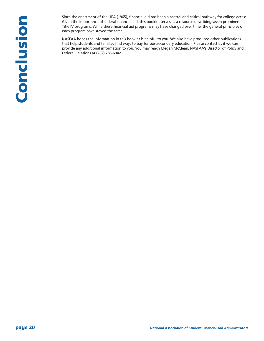Since the enactment of the HEA (1965), financial aid has been a central and critical pathway for college access. Given the importance of federal financial aid, this booklet serves as a resource describing seven prominent Title IV programs. While these financial aid programs may have changed over time, the general principles of each program have stayed the same.

NASFAA hopes the information in this booklet is helpful to you. We also have produced other publications that help students and families find ways to pay for postsecondary education. Please contact us if we can provide any additional information to you. You may reach Megan McClean, NASFAA's Director of Policy and Federal Relations at (202) 785-6942.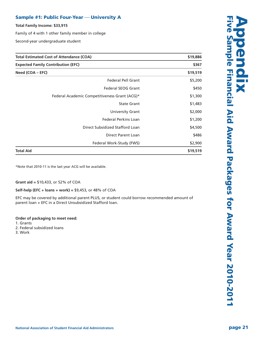# **Sample** #1: Public Four-Year – University A

**Total Family Income: \$33,915**

Family of 4 with 1 other family member in college

Second-year undergraduate student

| <b>Total Estimated Cost of Attendance (COA)</b> | \$19,886 |
|-------------------------------------------------|----------|
| <b>Expected Family Contribution (EFC)</b>       | \$367    |
| Need (COA – EFC)                                | \$19,519 |
| Federal Pell Grant                              | \$5,200  |
| <b>Federal SEOG Grant</b>                       | \$450    |
| Federal Academic Competitiveness Grant (ACG)*   | \$1,300  |
| <b>State Grant</b>                              | \$1,483  |
| University Grant                                | \$2,000  |
| <b>Federal Perkins Loan</b>                     | \$1,200  |
| Direct Subsidized Stafford Loan                 | \$4,500  |
| <b>Direct Parent Loan</b>                       | \$486    |
| Federal Work-Study (FWS)                        | \$2,900  |
| <b>Total Aid</b>                                | \$19,519 |

\*Note that 2010-11 is the last year ACG will be available.

**Grant aid =** \$10,433, or 52% of COA

**Self-help (EFC + loans + work) =** \$9,453, or 48% of COA

EFC may be covered by additional parent PLUS, or student could borrow recommended amount of parent loan + EFC in a Direct Unsubsidized Stafford loan.

#### **Order of packaging to meet need:**

- 1. Grants
- 2. Federal subsidized loans
- 3. Work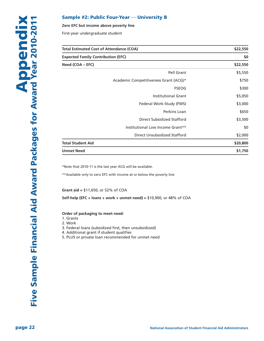#### **Sample** #2: **Public Four-Year** — University **B**

#### **Zero EFC but income above poverty line**

First-year undergraduate student

| <b>Total Estimated Cost of Attendance (COA)</b><br><b>Expected Family Contribution (EFC)</b> |                                       | \$22,550<br>\$0 |
|----------------------------------------------------------------------------------------------|---------------------------------------|-----------------|
|                                                                                              |                                       |                 |
|                                                                                              | Pell Grant                            | \$5,550         |
|                                                                                              | Academic Competitiveness Grant (ACG)* | \$750           |
|                                                                                              | <b>FSEOG</b>                          | \$300           |
|                                                                                              | <b>Institutional Grant</b>            | \$5,050         |
|                                                                                              | Federal Work-Study (FWS)              | \$3,000         |
|                                                                                              | Perkins Loan                          | \$650           |
|                                                                                              | <b>Direct Subsidized Stafford</b>     | \$3,500         |
|                                                                                              | Institutional Low Income Grant**      | \$0             |
|                                                                                              | Direct Unsubsidized Stafford          | \$2,000         |
| <b>Total Student Aid</b>                                                                     |                                       | \$20,800        |
| <b>Unmet Need</b>                                                                            |                                       | \$1,750         |

\*Note that 2010-11 is the last year ACG will be available.

\*\*Available only to zero EFC with income at or below the poverty line

**Grant aid =** \$11,650, or 52% of COA

**Self-help (EFC + loans + work + unmet need) =** \$10,900, or 48% of COA

#### **Order of packaging to meet need:**

1. Grants

2. Work

3. Federal loans (subsidized first, then unsubsidized)

4. Additional grant if student qualifies

5. PLUS or private loan recommended for unmet need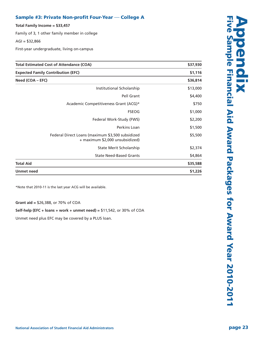# Sample #3: Private Non-profit Four-Year — College A

**To t a l F a m i l y I n c o m e = \$ 3 3 , 4 5 7**

Family of 3, 1 other family member in college

AGI = \$32,866

First-year undergraduate, living on-campus

| <b>Total Estimated Cost of Attendance (COA)</b>                                     | \$37,930<br>\$1,116<br>\$36,814 |
|-------------------------------------------------------------------------------------|---------------------------------|
| <b>Expected Family Contribution (EFC)</b>                                           |                                 |
| Need (COA – EFC)                                                                    |                                 |
| Institutional Scholarship                                                           | \$13,000                        |
| Pell Grant                                                                          | \$4,400                         |
| Academic Competitiveness Grant (ACG)*                                               | \$750                           |
| <b>FSEOG</b>                                                                        | \$1,000                         |
| Federal Work-Study (FWS)                                                            | \$2,200                         |
| Perkins Loan                                                                        | \$1,500                         |
| Federal Direct Loans (maximum \$3,500 subsidized<br>+ maximum \$2,000 unsubsidized) | \$5,500                         |
| State Merit Scholarship                                                             | \$2,374                         |
| <b>State Need-Based Grants</b>                                                      | \$4,864                         |
| <b>Total Aid</b>                                                                    | \$35,588                        |
| <b>Unmet need</b>                                                                   | \$1,226                         |

\*Note that 2010-11 is the last year ACG will be available.

**Grant aid = \$26,388, or 70% of COA** 

#### Self-help (EFC + loans + work + unmet need) =  $$11,542$ , or 30% of COA

Unmet need plus EFC may be covered by a PLUS loan.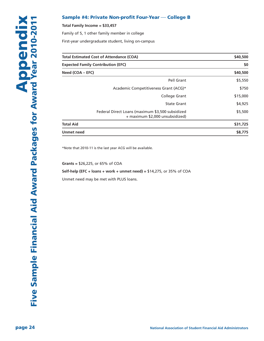#### **Sample** #4: Private Non-profit Four-Year – College B

#### **Total Family Income = \$33,457**

Family of 5, 1 other family member in college

First-year undergraduate student, living on-campus

| Total Estimated Cost of Attendance (COA)                                            | \$40,500<br>\$0 |
|-------------------------------------------------------------------------------------|-----------------|
| <b>Expected Family Contribution (EFC)</b>                                           |                 |
| Need (COA - EFC)                                                                    | \$40,500        |
| Pell Grant                                                                          | \$5,550         |
| Academic Competitiveness Grant (ACG)*                                               | \$750           |
| <b>College Grant</b>                                                                | \$15,000        |
| <b>State Grant</b>                                                                  | \$4,925         |
| Federal Direct Loans (maximum \$3,500 subsidized<br>+ maximum \$2,000 unsubsidized) | \$5,500         |
| <b>Total Aid</b>                                                                    | \$31,725        |
| <b>Unmet need</b>                                                                   | \$8,775         |

\*Note that 2010-11 is the last year ACG will be available.

**Grants =** \$26,225, or 65% of COA

#### **Self-help (EFC + loans + work + unmet need) =** \$14,275, or 35% of COA

Unmet need may be met with PLUS loans.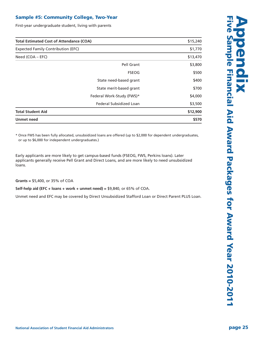# **Sample #5: Community College, Two-Year**

First-year undergraduate student, living with parents

| <b>Total Estimated Cost of Attendance (COA)</b><br><b>Expected Family Contribution (EFC)</b> |                           | \$15,240 |
|----------------------------------------------------------------------------------------------|---------------------------|----------|
|                                                                                              |                           | \$1,770  |
| Need $(COA - EFC)$                                                                           |                           | \$13,470 |
|                                                                                              | Pell Grant                | \$3,800  |
|                                                                                              | <b>FSEOG</b>              | \$500    |
|                                                                                              | State need-based grant    | \$400    |
|                                                                                              | State merit-based grant   | \$700    |
|                                                                                              | Federal Work-Study (FWS)* | \$4,000  |
|                                                                                              | Federal Subsidized Loan   | \$3,500  |
| <b>Total Student Aid</b>                                                                     |                           | \$12,900 |
| <b>Unmet need</b>                                                                            |                           | \$570    |

\* Once FWS has been fully allocated, unsubsidized loans are offered (up to \$2,000 for dependent undergraduates, or up to \$6,000 for independent undergraduates.)

Early applicants are more likely to get campus-based funds (FSEOG, FWS, Perkins loans). Later applicants generally receive Pell Grant and Direct Loans, and are more likely to need unsubsidized loans.

**Grants =** \$5,400, or 35% of COA

**Self-help aid (EFC + loans + work + unmet need) =** \$9,840, or 65% of COA.

Unmet need and EFC may be covered by Direct Unsubsidized Stafford Loan or Direct Parent PLUS Loan.